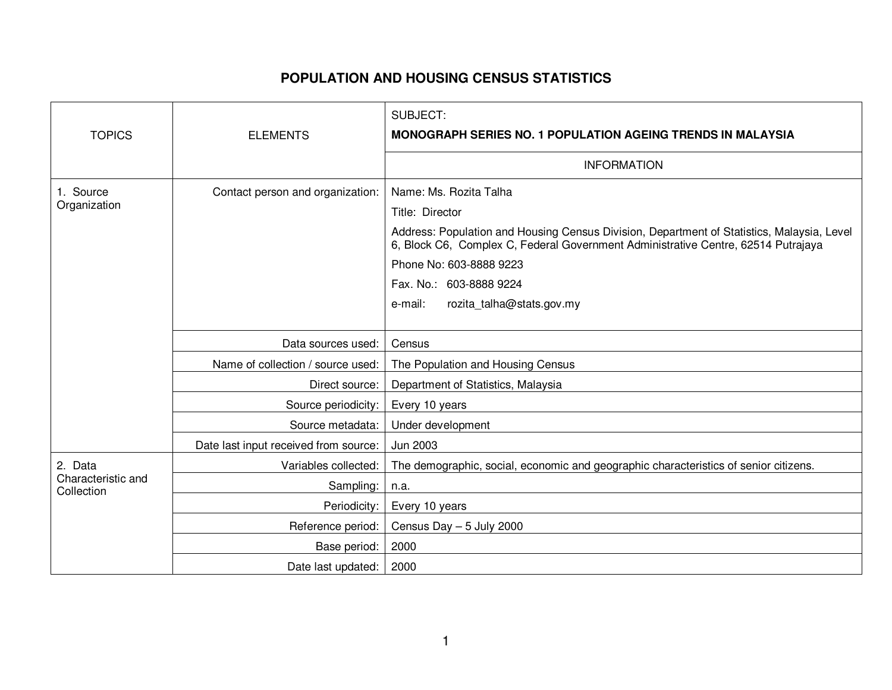## **POPULATION AND HOUSING CENSUS STATISTICS**

|                                             |                                       | SUBJECT:                                                                                                                                                                        |
|---------------------------------------------|---------------------------------------|---------------------------------------------------------------------------------------------------------------------------------------------------------------------------------|
| <b>TOPICS</b>                               | <b>ELEMENTS</b>                       | <b>MONOGRAPH SERIES NO. 1 POPULATION AGEING TRENDS IN MALAYSIA</b>                                                                                                              |
|                                             |                                       | <b>INFORMATION</b>                                                                                                                                                              |
| 1. Source<br>Organization                   | Contact person and organization:      | Name: Ms. Rozita Talha<br>Title: Director                                                                                                                                       |
|                                             |                                       | Address: Population and Housing Census Division, Department of Statistics, Malaysia, Level<br>6, Block C6, Complex C, Federal Government Administrative Centre, 62514 Putrajaya |
|                                             |                                       | Phone No: 603-8888 9223                                                                                                                                                         |
|                                             |                                       | Fax. No.: 603-8888 9224                                                                                                                                                         |
|                                             |                                       | rozita_talha@stats.gov.my<br>e-mail:                                                                                                                                            |
|                                             |                                       |                                                                                                                                                                                 |
|                                             | Data sources used:                    | Census                                                                                                                                                                          |
|                                             | Name of collection / source used:     | The Population and Housing Census                                                                                                                                               |
|                                             | Direct source:                        | Department of Statistics, Malaysia                                                                                                                                              |
|                                             | Source periodicity:                   | Every 10 years                                                                                                                                                                  |
|                                             | Source metadata:                      | Under development                                                                                                                                                               |
|                                             | Date last input received from source: | Jun 2003                                                                                                                                                                        |
| 2. Data<br>Characteristic and<br>Collection | Variables collected:                  | The demographic, social, economic and geographic characteristics of senior citizens.                                                                                            |
|                                             | Sampling:                             | n.a.                                                                                                                                                                            |
|                                             | Periodicity:                          | Every 10 years                                                                                                                                                                  |
|                                             | Reference period:                     | Census Day $-5$ July 2000                                                                                                                                                       |
|                                             | Base period:                          | 2000                                                                                                                                                                            |
|                                             | Date last updated:                    | 2000                                                                                                                                                                            |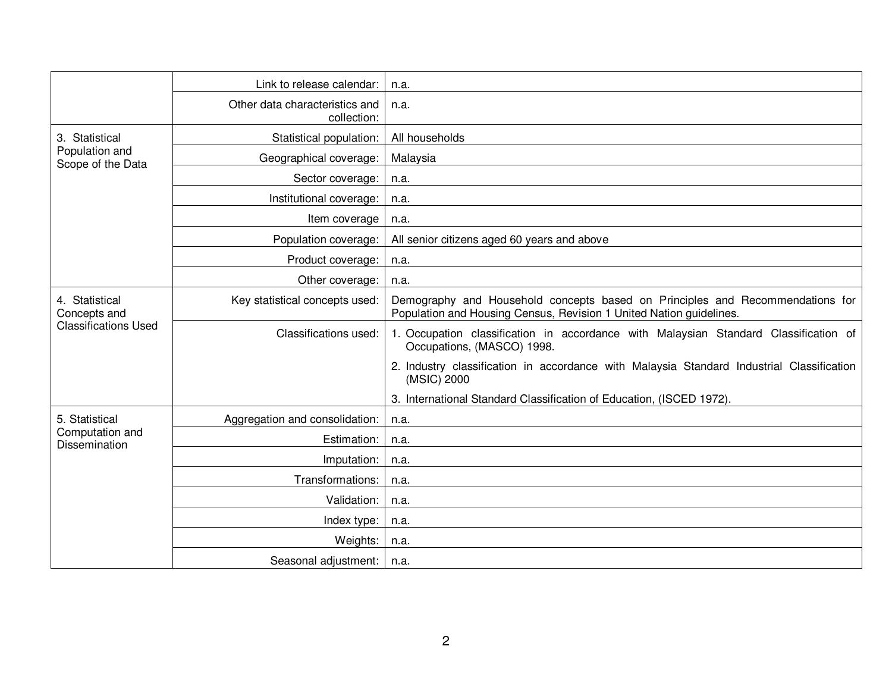|                                                               | Link to release calendar:                     | n.a.                                                                                                                                                 |
|---------------------------------------------------------------|-----------------------------------------------|------------------------------------------------------------------------------------------------------------------------------------------------------|
|                                                               | Other data characteristics and<br>collection: | n.a.                                                                                                                                                 |
| 3. Statistical<br>Population and<br>Scope of the Data         | Statistical population:                       | All households                                                                                                                                       |
|                                                               | Geographical coverage:                        | Malaysia                                                                                                                                             |
|                                                               | Sector coverage:                              | n.a.                                                                                                                                                 |
|                                                               | Institutional coverage:                       | n.a.                                                                                                                                                 |
|                                                               | Item coverage                                 | n.a.                                                                                                                                                 |
|                                                               | Population coverage:                          | All senior citizens aged 60 years and above                                                                                                          |
|                                                               | Product coverage:                             | n.a.                                                                                                                                                 |
|                                                               | Other coverage:                               | n.a.                                                                                                                                                 |
| 4. Statistical<br>Concepts and<br><b>Classifications Used</b> | Key statistical concepts used:                | Demography and Household concepts based on Principles and Recommendations for<br>Population and Housing Census, Revision 1 United Nation guidelines. |
|                                                               | Classifications used:                         | 1. Occupation classification in accordance with Malaysian Standard Classification of<br>Occupations, (MASCO) 1998.                                   |
|                                                               |                                               | 2. Industry classification in accordance with Malaysia Standard Industrial Classification<br>(MSIC) 2000                                             |
|                                                               |                                               | 3. International Standard Classification of Education, (ISCED 1972).                                                                                 |
| 5. Statistical<br>Computation and<br><b>Dissemination</b>     | Aggregation and consolidation:                | n.a.                                                                                                                                                 |
|                                                               | Estimation:                                   | n.a.                                                                                                                                                 |
|                                                               | Imputation:                                   | n.a.                                                                                                                                                 |
|                                                               | Transformations:                              | n.a.                                                                                                                                                 |
|                                                               | Validation:                                   | n.a.                                                                                                                                                 |
|                                                               | Index type:                                   | n.a.                                                                                                                                                 |
|                                                               | Weights:                                      | n.a.                                                                                                                                                 |
|                                                               | Seasonal adjustment:                          | n.a.                                                                                                                                                 |